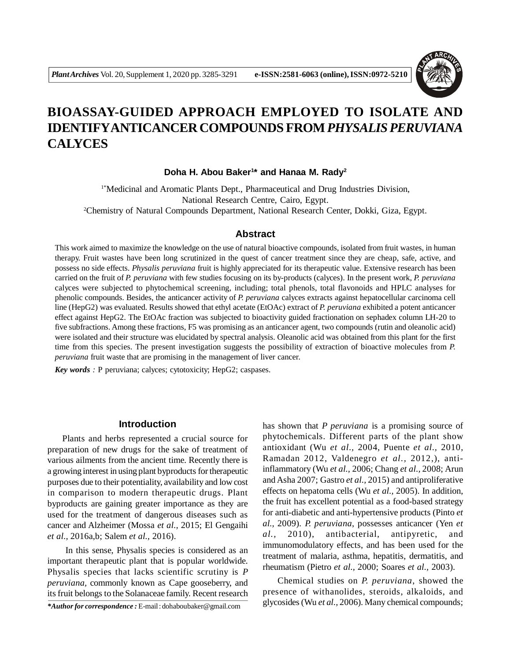

# **BIOASSAY-GUIDED APPROACH EMPLOYED TO ISOLATE AND IDENTIFYANTICANCER COMPOUNDS FROM** *PHYSALIS PERUVIANA* **CALYCES**

**Doha H. Abou Baker<sup>1</sup> \* and Hanaa M. Rady<sup>2</sup>**

1\*Medicinal and Aromatic Plants Dept., Pharmaceutical and Drug Industries Division, National Research Centre, Cairo, Egypt. <sup>2</sup>Chemistry of Natural Compounds Department, National Research Center, Dokki, Giza, Egypt.

## **Abstract**

This work aimed to maximize the knowledge on the use of natural bioactive compounds, isolated from fruit wastes, in human therapy. Fruit wastes have been long scrutinized in the quest of cancer treatment since they are cheap, safe, active, and possess no side effects. *Physalis peruviana* fruit is highly appreciated for its therapeutic value. Extensive research has been carried on the fruit of *P. peruviana* with few studies focusing on its by-products (calyces). In the present work, *P. peruviana* calyces were subjected to phytochemical screening, including; total phenols, total flavonoids and HPLC analyses for phenolic compounds. Besides, the anticancer activity of *P. peruviana* calyces extracts against hepatocellular carcinoma cell line (HepG2) was evaluated. Results showed that ethyl acetate (EtOAc) extract of *P. peruviana* exhibited a potent anticancer effect against HepG2. The EtOAc fraction was subjected to bioactivity guided fractionation on sephadex column LH-20 to five subfractions. Among these fractions, F5 was promising as an anticancer agent, two compounds (rutin and oleanolic acid) were isolated and their structure was elucidated by spectral analysis. Oleanolic acid was obtained from this plant for the first time from this species. The present investigation suggests the possibility of extraction of bioactive molecules from *P. peruviana* fruit waste that are promising in the management of liver cancer.

*Key words :* P peruviana; calyces; cytotoxicity; HepG2; caspases.

## **Introduction**

Plants and herbs represented a crucial source for preparation of new drugs for the sake of treatment of various ailments from the ancient time. Recently there is a growing interest in using plant byproducts for therapeutic purposes due to their potentiality, availability and low cost in comparison to modern therapeutic drugs. Plant byproducts are gaining greater importance as they are used for the treatment of dangerous diseases such as cancer and Alzheimer (Mossa *et al.,* 2015; El Gengaihi *et al.,* 2016a,b; Salem *et al.,* 2016).

 In this sense, Physalis species is considered as an important therapeutic plant that is popular worldwide. Physalis species that lacks scientific scrutiny is *P peruviana,* commonly known as Cape gooseberry, and its fruit belongs to the Solanaceae family. Recent research

*\*Author for correspondence :* E-mail : dohaboubaker@gmail.com

has shown that *P peruviana* is a promising source of phytochemicals. Different parts of the plant show antioxidant (Wu *et al.,* 2004, Puente *et al.,* 2010, Ramadan 2012, Valdenegro *et al.,* 2012,), antiinflammatory (Wu *et al.,* 2006; Chang *et al.,* 2008; Arun and Asha 2007; Gastro *et al.,* 2015) and antiproliferative effects on hepatoma cells (Wu *et al.,* 2005). In addition, the fruit has excellent potential as a food-based strategy for anti-diabetic and anti-hypertensive products (Pinto *et al.,* 2009). *P. peruviana*, possesses anticancer (Yen *et al.,* 2010), antibacterial, antipyretic, and immunomodulatory effects, and has been used for the treatment of malaria, asthma, hepatitis, dermatitis, and rheumatism (Pietro *et al.,* 2000; Soares *et al.,* 2003).

Chemical studies on *P. peruviana*, showed the presence of withanolides, steroids, alkaloids, and glycosides (Wu *et al.,* 2006). Many chemical compounds;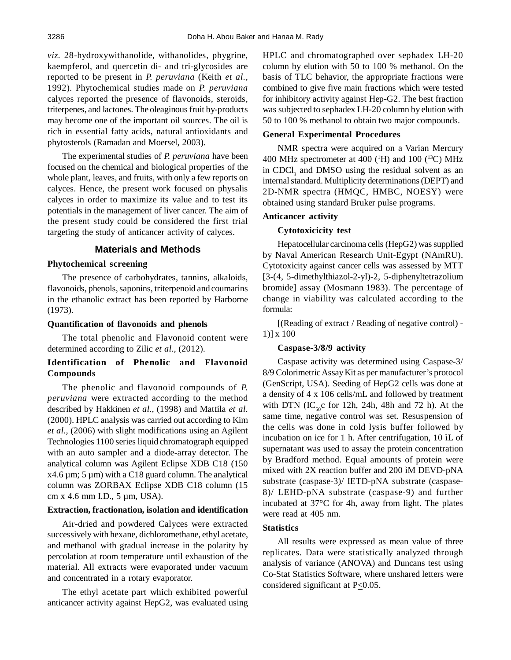*viz.* 28-hydroxywithanolide, withanolides, phygrine, kaempferol, and quercetin di- and tri-glycosides are reported to be present in *P. peruviana* (Keith *et al.,* 1992). Phytochemical studies made on *P. peruviana* calyces reported the presence of flavonoids, steroids, triterpenes, and lactones. The oleaginous fruit by-products may become one of the important oil sources. The oil is rich in essential fatty acids, natural antioxidants and phytosterols (Ramadan and Moersel, 2003).

The experimental studies of *P. peruviana* have been focused on the chemical and biological properties of the whole plant, leaves, and fruits, with only a few reports on calyces. Hence, the present work focused on physalis calyces in order to maximize its value and to test its potentials in the management of liver cancer. The aim of the present study could be considered the first trial targeting the study of anticancer activity of calyces.

## **Materials and Methods**

#### **Phytochemical screening**

The presence of carbohydrates, tannins, alkaloids, flavonoids, phenols, saponins, triterpenoid and coumarins in the ethanolic extract has been reported by Harborne (1973).

## **Quantification of flavonoids and phenols**

The total phenolic and Flavonoid content were determined according to Zilic *et al.,* (2012).

# **Identification of Phenolic and Flavonoid Compounds**

The phenolic and flavonoid compounds of *P. peruviana* were extracted according to the method described by Hakkinen *et al.,* (1998) and Mattila *et al*. (2000). HPLC analysis was carried out according to Kim *et al.,* (2006) with slight modifications using an Agilent Technologies 1100 series liquid chromatograph equipped with an auto sampler and a diode-array detector. The analytical column was Agilent Eclipse XDB C18 (150  $x4.6 \mu m$ ; 5  $\mu m$ ) with a C18 guard column. The analytical column was ZORBAX Eclipse XDB C18 column (15 cm x 4.6 mm I.D., 5 µm, USA).

#### **Extraction, fractionation, isolation and identification**

Air-dried and powdered Calyces were extracted successively with hexane, dichloromethane, ethyl acetate, and methanol with gradual increase in the polarity by percolation at room temperature until exhaustion of the material. All extracts were evaporated under vacuum and concentrated in a rotary evaporator.

The ethyl acetate part which exhibited powerful anticancer activity against HepG2, was evaluated using HPLC and chromatographed over sephadex LH-20 column by elution with 50 to 100 % methanol. On the basis of TLC behavior, the appropriate fractions were combined to give five main fractions which were tested for inhibitory activity against Hep-G2. The best fraction was subjected to sephadex LH-20 column by elution with 50 to 100 % methanol to obtain two major compounds.

## **General Experimental Procedures**

NMR spectra were acquired on a Varian Mercury 400 MHz spectrometer at 400 ( $^1$ H) and 100 ( $^1$ <sup>3</sup>C) MHz in  $CDCI<sub>3</sub>$  and DMSO using the residual solvent as an internal standard. Multiplicity determinations (DEPT) and 2D-NMR spectra (HMQC, HMBC, NOESY) were obtained using standard Bruker pulse programs.

## **Anticancer activity**

#### **Cytotoxicicity test**

Hepatocellular carcinoma cells (HepG2) was supplied by Naval American Research Unit-Egypt (NAmRU). Cytotoxicity against cancer cells was assessed by MTT [3-(4, 5-dimethylthiazol-2-yl)-2, 5-diphenyltetrazolium bromide] assay (Mosmann 1983). The percentage of change in viability was calculated according to the formula:

[(Reading of extract / Reading of negative control) - 1)] x 100

## **Caspase-3/8/9 activity**

Caspase activity was determined using Caspase-3/ 8/9 Colorimetric Assay Kit as per manufacturer's protocol (GenScript, USA). Seeding of HepG2 cells was done at a density of 4 x 106 cells/mL and followed by treatment with DTN (IC<sub>50</sub>c for 12h, 24h, 48h and 72 h). At the same time, negative control was set. Resuspension of the cells was done in cold lysis buffer followed by incubation on ice for 1 h. After centrifugation, 10 ìL of supernatant was used to assay the protein concentration by Bradford method. Equal amounts of protein were mixed with 2X reaction buffer and 200 ìM DEVD-pNA substrate (caspase-3)/ IETD-pNA substrate (caspase-8)/ LEHD-pNA substrate (caspase-9) and further incubated at 37°C for 4h, away from light. The plates were read at 405 nm.

#### **Statistics**

All results were expressed as mean value of three replicates. Data were statistically analyzed through analysis of variance (ANOVA) and Duncans test using Co-Stat Statistics Software, where unshared letters were considered significant at  $P \leq 0.05$ .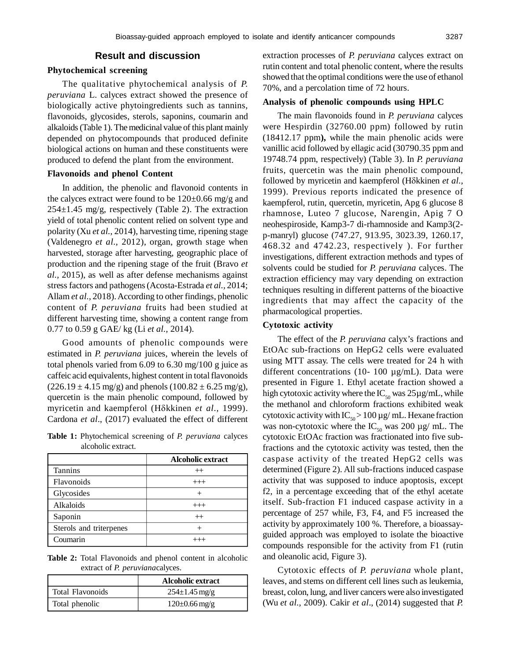## **Result and discussion**

## **Phytochemical screening**

The qualitative phytochemical analysis of *P. peruviana* L. calyces extract showed the presence of biologically active phytoingredients such as tannins, flavonoids, glycosides, sterols, saponins, coumarin and alkaloids (Table 1). The medicinal value of this plant mainly depended on phytocompounds that produced definite biological actions on human and these constituents were produced to defend the plant from the environment.

## **Flavonoids and phenol Content**

In addition, the phenolic and flavonoid contents in the calyces extract were found to be  $120\pm0.66$  mg/g and  $254\pm1.45$  mg/g, respectively (Table 2). The extraction yield of total phenolic content relied on solvent type and polarity (Xu *et al.,* 2014), harvesting time, ripening stage (Valdenegro *et al.,* 2012), organ, growth stage when harvested, storage after harvesting, geographic place of production and the ripening stage of the fruit (Bravo *et al.,* 2015), as well as after defense mechanisms against stress factors and pathogens (Acosta-Estrada *et al.,* 2014; Allam *et al.,* 2018). According to other findings, phenolic content of *P. peruviana* fruits had been studied at different harvesting time, showing a content range from 0.77 to 0.59 g GAE/ kg (Li *et al.,* 2014).

Good amounts of phenolic compounds were estimated in *P. peruviana* juices, wherein the levels of total phenols varied from 6.09 to 6.30 mg/100 g juice as caffeic acid equivalents, highest content in total flavonoids  $(226.19 \pm 4.15 \text{ mg/g})$  and phenols  $(100.82 \pm 6.25 \text{ mg/g})$ , quercetin is the main phenolic compound, followed by myricetin and kaempferol (H $\delta$ kkinen *et al.*, 1999). Cardona *et al*., (2017) evaluated the effect of different

**Table 1:** Phytochemical screening of *P. peruviana* calyces alcoholic extract.

|                         | <b>Alcoholic extract</b> |
|-------------------------|--------------------------|
| <b>Tannins</b>          | $^{++}$                  |
| Flavonoids              | $++$                     |
| Glycosides              | $^{+}$                   |
| Alkaloids               | $++$                     |
| Saponin                 | $^{++}$                  |
| Sterols and triterpenes |                          |
| Coumarin                |                          |

**Table 2:** Total Flavonoids and phenol content in alcoholic extract of *P. peruviana*calyces.

|                  | <b>Alcoholic extract</b>       |
|------------------|--------------------------------|
| Total Flavonoids | $254 \pm 1.45 \,\mathrm{mg/g}$ |
| Total phenolic   | $120\pm0.66$ mg/g              |

extraction processes of *P. peruviana* calyces extract on rutin content and total phenolic content, where the results showed that the optimal conditions were the use of ethanol 70%, and a percolation time of 72 hours.

#### **Analysis of phenolic compounds using HPLC**

The main flavonoids found in *P. peruviana* calyces were Hespirdin (32760.00 ppm) followed by rutin (18412.17 ppm**),** while the main phenolic acids were vanillic acid followed by ellagic acid (30790.35 ppm and 19748.74 ppm, respectively) (Table 3). In *P. peruviana* fruits, quercetin was the main phenolic compound, followed by myricetin and kaempferol (H $\delta$ kkinen *et al.*, 1999). Previous reports indicated the presence of kaempferol, rutin, quercetin, myricetin, Apg 6 glucose 8 rhamnose, Luteo 7 glucose, Narengin, Apig 7 O neohespiroside, Kamp3-7 di-rhamnoside and Kamp3(2 p-manryl) glucose (747.27, 913.95, 3023.39, 1260.17, 468.32 and 4742.23, respectively ). For further investigations, different extraction methods and types of solvents could be studied for *P. peruviana* calyces. The extraction efficiency may vary depending on extraction techniques resulting in different patterns of the bioactive ingredients that may affect the capacity of the pharmacological properties.

## **Cytotoxic activity**

The effect of the *P. peruviana* calyx's fractions and EtOAc sub-fractions on HepG2 cells were evaluated using MTT assay. The cells were treated for 24 h with different concentrations (10- 100 µg/mL). Data were presented in Figure 1. Ethyl acetate fraction showed a high cytotoxic activity where the  $IC_{50}$  was  $25\mu g/mL$ , while the methanol and chloroform fractions exhibited weak cytotoxic activity with  $IC_{50} > 100 \,\mu g/\,\text{mL}$ . Hexane fraction was non-cytotoxic where the  $IC_{50}$  was 200 µg/ mL. The cytotoxic EtOAc fraction was fractionated into five subfractions and the cytotoxic activity was tested, then the caspase activity of the treated HepG2 cells was determined (Figure 2). All sub-fractions induced caspase activity that was supposed to induce apoptosis, except f2, in a percentage exceeding that of the ethyl acetate itself. Sub-fraction F1 induced caspase activity in a percentage of 257 while, F3, F4, and F5 increased the activity by approximately 100 %. Therefore, a bioassayguided approach was employed to isolate the bioactive compounds responsible for the activity from F1 (rutin and oleanolic acid, Figure 3).

Cytotoxic effects of *P. peruviana* whole plant, leaves, and stems on different cell lines such as leukemia, breast, colon, lung, and liver cancers were also investigated (Wu *et al.,* 2009). Cakir *et al*., (2014) suggested that *P.*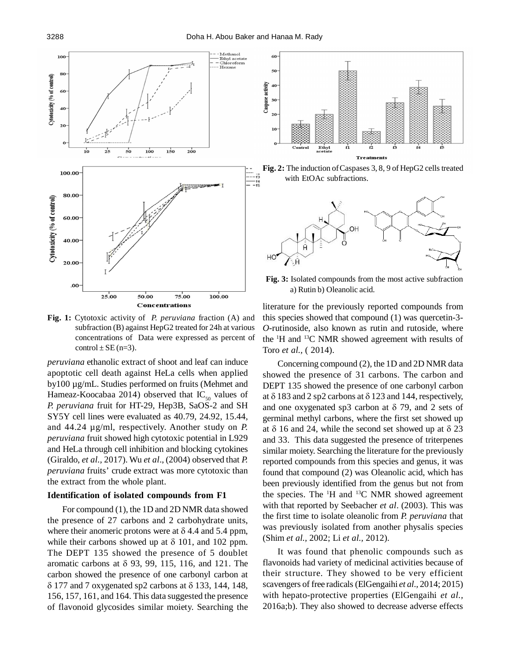

**Fig. 1:** Cytotoxic activity of *P. peruviana* fraction (A) and subfraction (B) against HepG2 treated for 24h at various concentrations of Data were expressed as percent of control  $\pm$  SE (n=3).

*peruviana* ethanolic extract of shoot and leaf can induce apoptotic cell death against HeLa cells when applied by100 µg/mL. Studies performed on fruits (Mehmet and Hameaz-Koocabaa 2014) observed that  $IC_{50}$  values of *P. peruviana* fruit for HT-29, Hep3B, SaOS-2 and SH SY5Y cell lines were evaluated as 40.79, 24.92, 15.44, and 44.24 µg/ml, respectively. Another study on *P. peruviana* fruit showed high cytotoxic potential in L929 and HeLa through cell inhibition and blocking cytokines (Giraldo, *et al.,* 2017). Wu *et al*., (2004) observed that *P. peruviana* fruits' crude extract was more cytotoxic than the extract from the whole plant.

#### **Identification of isolated compounds from F1**

For compound (1), the 1D and 2D NMR data showed the presence of 27 carbons and 2 carbohydrate units, where their anomeric protons were at  $\delta$  4.4 and 5.4 ppm, while their carbons showed up at  $\delta$  101, and 102 ppm. The DEPT 135 showed the presence of 5 doublet aromatic carbons at  $\delta$  93, 99, 115, 116, and 121. The carbon showed the presence of one carbonyl carbon at  $\delta$  177 and 7 oxygenated sp2 carbons at  $\delta$  133, 144, 148, 156, 157, 161, and 164. This data suggested the presence of flavonoid glycosides similar moiety. Searching the







**Fig. 3:** Isolated compounds from the most active subfraction a) Rutin b) Oleanolic acid.

literature for the previously reported compounds from this species showed that compound (1) was quercetin-3- *O*-rutinoside, also known as rutin and rutoside, where the <sup>1</sup>H and <sup>13</sup>C NMR showed agreement with results of Toro *et al.,* ( 2014).

Concerning compound (2), the 1D and 2D NMR data showed the presence of 31 carbons. The carbon and DEPT 135 showed the presence of one carbonyl carbon at  $\delta$  183 and 2 sp2 carbons at  $\delta$  123 and 144, respectively, and one oxygenated sp3 carbon at  $\delta$  79, and 2 sets of germinal methyl carbons, where the first set showed up at  $\delta$  16 and 24, while the second set showed up at  $\delta$  23 and 33. This data suggested the presence of triterpenes similar moiety. Searching the literature for the previously reported compounds from this species and genus, it was found that compound (2) was Oleanolic acid, which has been previously identified from the genus but not from the species. The  $H$  and  $H$ <sup>13</sup>C NMR showed agreement with that reported by Seebacher *et al*. (2003). This was the first time to isolate oleanolic from *P. peruviana* that was previously isolated from another physalis species (Shim *et al.,* 2002; Li *et al.,* 2012).

It was found that phenolic compounds such as flavonoids had variety of medicinal activities because of their structure. They showed to be very efficient scavengers of free radicals (ElGengaihi *et al.,* 2014; 2015) with hepato-protective properties (ElGengaihi *et al.,* 2016a;b). They also showed to decrease adverse effects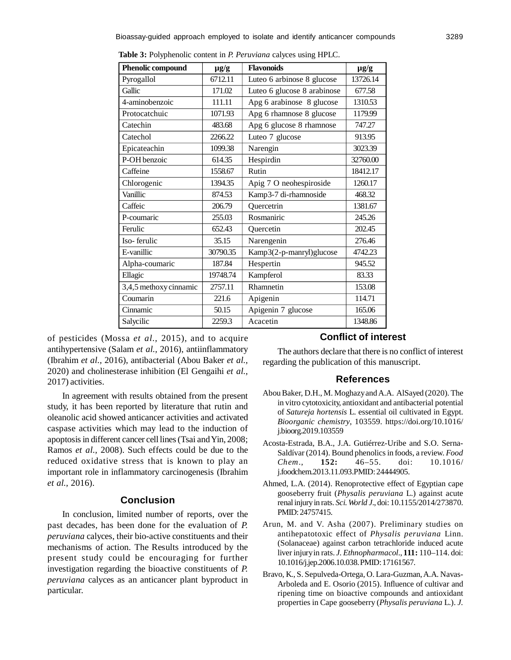| Phenolic compound      | $\mu$ g/g | <b>Flavonoids</b>           | $\mu$ g/g |
|------------------------|-----------|-----------------------------|-----------|
| Pyrogallol             | 6712.11   | Luteo 6 arbinose 8 glucose  | 13726.14  |
| Gallic                 | 171.02    | Luteo 6 glucose 8 arabinose | 677.58    |
| 4-aminobenzoic         | 111.11    | Apg 6 arabinose 8 glucose   | 1310.53   |
| Protocatchuic          | 1071.93   | Apg 6 rhamnose 8 glucose    | 1179.99   |
| Catechin               | 483.68    | Apg 6 glucose 8 rhamnose    | 747.27    |
| Catechol               | 2266.22   | Luteo 7 glucose             | 913.95    |
| Epicateachin           | 1099.38   | Narengin                    | 3023.39   |
| P-OH benzoic           | 614.35    | Hespirdin                   | 32760.00  |
| Caffeine               | 1558.67   | Rutin                       | 18412.17  |
| Chlorogenic            | 1394.35   | Apig 7 O neohespiroside     | 1260.17   |
| Vanillic               | 874.53    | Kamp3-7 di-rhamnoside       | 468.32    |
| Caffeic                | 206.79    | Quercetrin                  | 1381.67   |
| P-coumaric             | 255.03    | Rosmaniric                  | 245.26    |
| Ferulic                | 652.43    | Quercetin                   | 202.45    |
| Iso-ferulic            | 35.15     | Narengenin                  | 276.46    |
| E-vanillic             | 30790.35  | Kamp3(2-p-manryl)glucose    | 4742.23   |
| Alpha-coumaric         | 187.84    | Hespertin                   | 945.52    |
| Ellagic                | 19748.74  | Kampferol                   | 83.33     |
| 3,4,5 methoxy cinnamic | 2757.11   | Rhamnetin                   | 153.08    |
| Coumarin               | 221.6     | Apigenin                    | 114.71    |
| Cinnamic               | 50.15     | Apigenin 7 glucose          | 165.06    |
| Salycilic              | 2259.3    | Acacetin                    | 1348.86   |

**Table 3:** Polyphenolic content in *P. Peruviana* calyces using HPLC.

of pesticides (Mossa *et al.,* 2015), and to acquire antihypertensive (Salam *et al.,* 2016), antiinflammatory (Ibrahim *et al.,* 2016), antibacterial (Abou Baker *et al.,* 2020) and cholinesterase inhibition (El Gengaihi *et al.,* 2017) activities.

In agreement with results obtained from the present study, it has been reported by literature that rutin and oleanolic acid showed anticancer activities and activated caspase activities which may lead to the induction of apoptosis in different cancer cell lines (Tsai and Yin, 2008; Ramos *et al.,* 2008). Such effects could be due to the reduced oxidative stress that is known to play an important role in inflammatory carcinogenesis (Ibrahim *et al.,* 2016).

## **Conclusion**

In conclusion, limited number of reports, over the past decades, has been done for the evaluation of *P. peruviana* calyces, their bio-active constituents and their mechanisms of action. The Results introduced by the present study could be encouraging for further investigation regarding the bioactive constituents of *P. peruviana* calyces as an anticancer plant byproduct in particular.

## **Conflict of interest**

The authors declare that there is no conflict of interest regarding the publication of this manuscript.

#### **References**

- Abou Baker, D.H., M. Moghazy and A.A. AlSayed (2020). The in vitro cytotoxicity, antioxidant and antibacterial potential of *Satureja hortensis* L. essential oil cultivated in Egypt. *Bioorganic chemistry*, 103559. https://doi.org/10.1016/ j.bioorg.2019.103559
- Acosta-Estrada, B.A., J.A. Gutiérrez-Uribe and S.O. Serna-Saldívar (2014). Bound phenolics in foods, a review. *Food Chem*., **152:** 46–55. doi: 10.1016/ j.foodchem.2013.11.093.PMID: 24444905.
- Ahmed, L.A. (2014). Renoprotective effect of Egyptian cape gooseberry fruit (*Physalis peruviana* L.) against acute renal injury in rats. *Sci. World J*., doi: 10.1155/2014/273870. PMID: 24757415.
- Arun, M. and V. Asha (2007). Preliminary studies on antihepatotoxic effect of *Physalis peruviana* Linn. (Solanaceae) against carbon tetrachloride induced acute liver injury in rats. *J. Ethnopharmacol*., **111:** 110–114. doi: 10.1016/j.jep.2006.10.038. PMID: 17161567.
- Bravo, K., S. Sepulveda-Ortega, O. Lara-Guzman, A.A. Navas-Arboleda and E. Osorio (2015). Influence of cultivar and ripening time on bioactive compounds and antioxidant properties in Cape gooseberry (*Physalis peruviana* L.). *J.*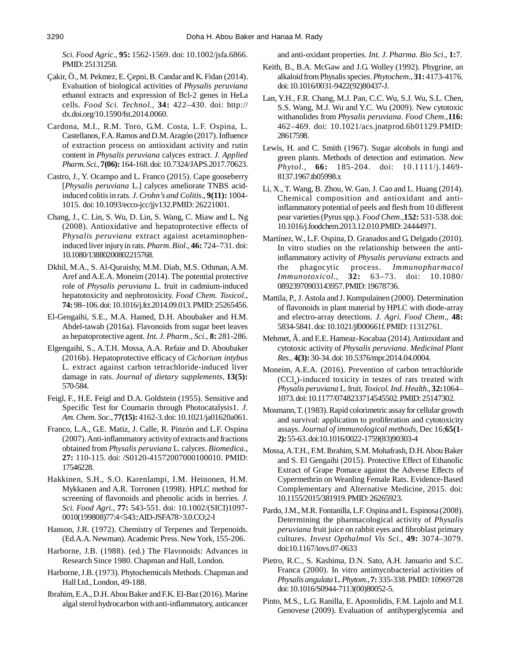*Sci. Food Agric*., **95:** 1562-1569. doi: 10.1002/jsfa.6866. PMID: 25131258.

- Çakir, Ö., M. Pekmez, E. Çepni, B. Candar and K. Fidan (2014). Evaluation of biological activities of *Physalis peruviana* ethanol extracts and expression of Bcl-2 genes in HeLa cells. *Food Sci. Technol*., **34:** 422–430. doi: http:// dx.doi.org/10.1590/fst.2014.0060.
- Cardona, M.I., R.M. Toro, G.M. Costa, L.F. Ospina, L. Castellanos, F.A. Ramos and D.M. Aragón (2017). Influence of extraction process on antioxidant activity and rutin content in *Physalis peruviana* calyces extract. *J. Applied Pharm. Sci.*, **7(06):** 164-168. doi: 10.7324/JAPS.2017.70623.
- Castro, J., Y. Ocampo and L. Franco (2015). Cape gooseberry [*Physalis peruviana* L.] calyces ameliorate TNBS acidinduced colitis in rats. *J. Crohn's and Colitis*., **9(11):** 1004- 1015. doi: 10.1093/ecco-jcc/jjv132.PMID: 26221001.
- Chang, J., C. Lin, S. Wu, D. Lin, S. Wang, C. Miaw and L. Ng (2008). Antioxidative and hepatoprotective effects of *Physalis peruviana* extract against acetaminopheninduced liver injury in rats. *Pharm. Biol*., **46:** 724–731. doi: 10.1080/13880200802215768.
- Dkhil, M.A., S. Al-Quraishy, M.M. Diab, M.S. Othman, A.M. Aref and A.E.A. Moneim (2014). The potential protective role of *Physalis peruviana* L. fruit in cadmium-induced hepatotoxicity and nephrotoxicity. *Food Chem. Toxicol*., **74:** 98–106. doi: 10.1016/j.fct.2014.09.013. PMID: 25265456.
- El-Gengaihi, S.E., M.A. Hamed, D.H. Aboubaker and H.M. Abdel-tawab (2016a). Flavonoids from sugar beet leaves as hepatoprotective agent. *Int. J. Pharm., Sci.*, **8:** 281-286.
- Elgengaihi, S., A.T.H. Mossa, A.A. Refaie and D. Aboubaker (2016b). Hepatoprotective efficacy of *Cichorium intybus* L. extract against carbon tetrachloride-induced liver damage in rats. *Journal of dietary supplements*, **13(5):** 570-584.
- Feigl, F., H.E. Feigl and D.A. Goldstein (1955). Sensitive and Specific Test for Coumarin through Photocatalysis1. *J. Am. Chem. Soc.*, **77(15):** 4162-3. doi: 10.1021/ja01620a061.
- Franco, L.A., G.E. Matiz, J. Calle, R. Pinzón and L.F. Ospina (2007). Anti-inflammatory activity of extracts and fractions obtained from *Physalis peruviana* L. calyces. *Biomedica*., **27:** 110-115. doi: /S0120-41572007000100010. PMID: 17546228.
- Hakkinen, S.H., S.O. Karenlampi, I.M. Heinonen, H.M. Mykkanen and A.R. Torronen (1998). HPLC method for screening of flavonoids and phenolic acids in berries. *J. Sci. Food Agri.*, **77:** 543-551. doi: 10.1002/(SICI)1097- 0010(199808)77:4<543::AID-JSFA78>3.0.CO;2-I
- Hanson, J.R. (1972). Chemistry of Terpenes and Terpenoids. (Ed.A.A. Newman). Academic Press. New York, 155-206.
- Harborne, J.B. (1988). (ed.) The Flavonoids: Advances in Research Since 1980. Chapman and Hall, London.
- Harborne, J.B. (1973). Phytochemicals Methods. Chapman and Hall Ltd., London, 49-188.
- Ibrahim, E.A., D.H. Abou Baker and F.K. El-Baz (2016). Marine algal sterol hydrocarbon with anti-inflammatory, anticancer

and anti-oxidant properties. *Int. J. Pharma. Bio Sci*., **1:**7.

- Keith, B., B.A. McGaw and J.G. Wolley (1992). Phygrine, an alkaloid from Physalis species. *Phytochem*., **31:** 4173-4176. doi: 10.1016/0031-9422(92)80437-J.
- Lan, Y.H., F.R. Chang, M.J. Pan, C.C. Wu, S.J. Wu, S.L. Chen, S.S. Wang, M.J. Wu and Y.C. Wu (2009). New cytotoxic withanolides from *Physalis peruviana*. *Food Chem*.,**116:** 462–469. doi: 10.1021/acs.jnatprod.6b01129.PMID: 28617598.
- Lewis, H. and C. Smith (1967). Sugar alcohols in fungi and green plants. Methods of detection and estimation. *New Phytol.*, **66:** 185-204. doi: 10.1111/j.1469- 8137.1967.tb05998.x
- Li, X., T. Wang, B. Zhou, W. Gao, J. Cao and L. Huang (2014). Chemical composition and antioxidant and antiinflammatory potential of peels and flesh from 10 different pear varieties (Pyrus spp.). *Food Chem*.,**152:** 531-538. doi: 10.1016/j.foodchem.2013.12.010.PMID: 24444971.
- Martínez, W., L.F. Ospina, D. Granados and G. Delgado (2010). In vitro studies on the relationship between the antiinflammatory activity of *Physalis peruviana* extracts and the phagocytic process. *Immunopharmacol Immunotoxicol*., **32:** 63–73. doi: 10.1080/ 08923970903143957. PMID: 19678736.
- Mattila, P., J. Astola and J. Kumpulainen (2000). Determination of flavonoids in plant material by HPLC with diode-array and electro-array detections. *J. Agri. Food Chem*., **48:** 5834-5841. doi: 10.1021/jf000661f. PMID: 11312761.
- Mehmet, Ã. and E.E. Hameaz-Kocabaa (2014). Antioxidant and cytotoxic activity of *Physalis peruviana*. *Medicinal Plant Res.*, **4(3):** 30-34. doi: 10.5376/mpr.2014.04.0004.
- Moneim, A.E.A. (2016). Prevention of carbon tetrachloride  $(CCl<sub>4</sub>)$ -induced toxicity in testes of rats treated with *Physalis peruviana* L. fruit. *Toxicol. Ind. Health*., **32:**1064– 1073. doi: 10.1177/0748233714545502. PMID: 25147302.
- Mosmann, T. (1983). Rapid colorimetric assay for cellular growth and survival: application to proliferation and cytotoxicity assays. *Journal of immunological methods*, Dec 16;**65(1- 2):** 55-63. doi:10.1016/0022-1759(83)90303-4
- Mossa, A.T.H., F.M. Ibrahim, S.M. Mohafrash, D.H. Abou Baker and S. El Gengaihi (2015). Protective Effect of Ethanolic Extract of Grape Pomace against the Adverse Effects of Cypermethrin on Weanling Female Rats. Evidence-Based Complementary and Alternative Medicine, 2015. doi: 10.1155/2015/381919. PMID: 26265923.
- Pardo, J.M., M.R. Fontanilla, L.F. Ospina and L. Espinosa (2008). Determining the pharmacological activity of *Physalis peruviana* fruit juice on rabbit eyes and fibroblast primary cultures. *Invest Opthalmol Vis Sci*., **49:** 3074–3079. doi:10.1167/iovs.07-0633
- Pietro, R.C., S. Kashima, D.N. Sato, A.H. Januario and S.C. Franca (2000). In vitro antimycobacterial activities of *Physalis angulata* L. *Phytom*., **7:** 335-338. PMID: 10969728 doi: 10.1016/S0944-7113(00)80052-5.
- Pinto, M.S., L.G. Ranilla, E. Apostolidis, F.M. Lajolo and M.I. Genovese (2009). Evaluation of antihyperglycemia and